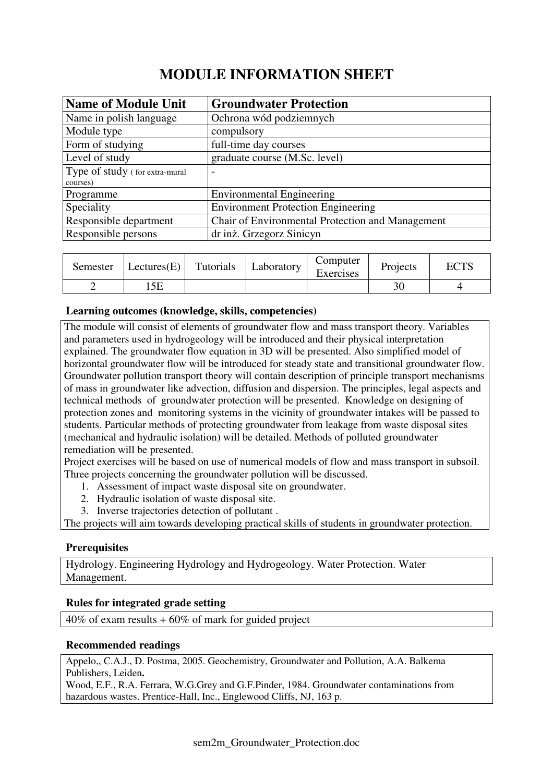# **MODULE INFORMATION SHEET**

| <b>Name of Module Unit</b>     | <b>Groundwater Protection</b>                    |
|--------------------------------|--------------------------------------------------|
| Name in polish language        | Ochrona wód podziemnych                          |
| Module type                    | compulsory                                       |
| Form of studying               | full-time day courses                            |
| Level of study                 | graduate course (M.Sc. level)                    |
| Type of study (for extra-mural |                                                  |
| courses)                       |                                                  |
| Programme                      | <b>Environmental Engineering</b>                 |
| Speciality                     | <b>Environment Protection Engineering</b>        |
| Responsible department         | Chair of Environmental Protection and Management |
| Responsible persons            | dr inż. Grzegorz Sinicyn                         |

| Semester | Lectures(E) | Tutorials | Laboratory | Computer<br>Exercises | Projects | <b>ECTS</b> |
|----------|-------------|-----------|------------|-----------------------|----------|-------------|
|          |             |           |            |                       |          |             |

#### **Learning outcomes (knowledge, skills, competencies)**

The module will consist of elements of groundwater flow and mass transport theory. Variables and parameters used in hydrogeology will be introduced and their physical interpretation explained. The groundwater flow equation in 3D will be presented. Also simplified model of horizontal groundwater flow will be introduced for steady state and transitional groundwater flow. Groundwater pollution transport theory will contain description of principle transport mechanisms of mass in groundwater like advection, diffusion and dispersion. The principles, legal aspects and technical methods of groundwater protection will be presented. Knowledge on designing of protection zones and monitoring systems in the vicinity of groundwater intakes will be passed to students. Particular methods of protecting groundwater from leakage from waste disposal sites (mechanical and hydraulic isolation) will be detailed. Methods of polluted groundwater remediation will be presented.

Project exercises will be based on use of numerical models of flow and mass transport in subsoil. Three projects concerning the groundwater pollution will be discussed.

- 1. Assessment of impact waste disposal site on groundwater.
- 2. Hydraulic isolation of waste disposal site.
- 3. Inverse trajectories detection of pollutant .

The projects will aim towards developing practical skills of students in groundwater protection.

## **Prerequisites**

Hydrology. Engineering Hydrology and Hydrogeology. Water Protection. Water Management.

## **Rules for integrated grade setting**

 $40\%$  of exam results  $+60\%$  of mark for guided project

#### **Recommended readings**

Appelo,, C.A.J., D. Postma, 2005. Geochemistry, Groundwater and Pollution, A.A. Balkema Publishers, Leiden**.** 

Wood, E.F., R.A. Ferrara, W.G.Grey and G.F.Pinder, 1984. Groundwater contaminations from hazardous wastes. Prentice-Hall, Inc., Englewood Cliffs, NJ, 163 p.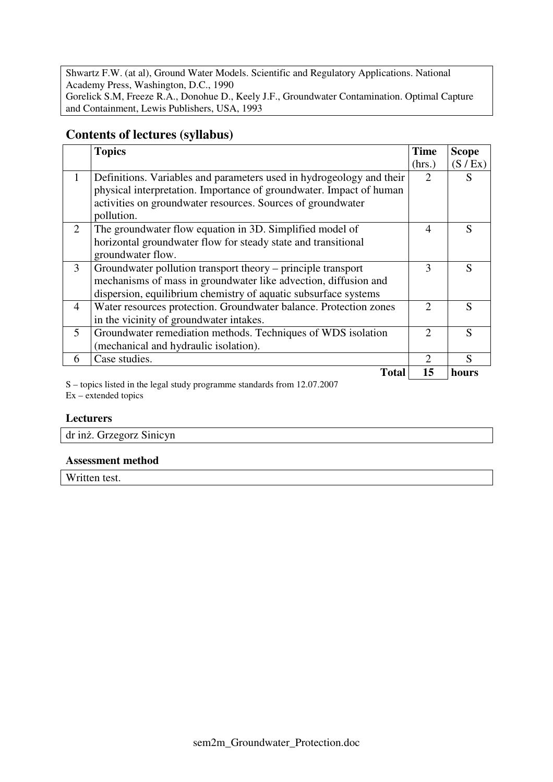Shwartz F.W. (at al), Ground Water Models. Scientific and Regulatory Applications. National Academy Press, Washington, D.C., 1990 Gorelick S.M, Freeze R.A., Donohue D., Keely J.F., Groundwater Contamination. Optimal Capture and Containment, Lewis Publishers, USA, 1993

# **Contents of lectures (syllabus)**

|                | <b>Topics</b>                                                        | <b>Time</b>                 | <b>Scope</b>  |
|----------------|----------------------------------------------------------------------|-----------------------------|---------------|
|                |                                                                      | (hrs.)                      | (S / Ex)      |
| $\mathbf{1}$   | Definitions. Variables and parameters used in hydrogeology and their | $\mathcal{D}_{\mathcal{L}}$ |               |
|                | physical interpretation. Importance of groundwater. Impact of human  |                             |               |
|                | activities on groundwater resources. Sources of groundwater          |                             |               |
|                | pollution.                                                           |                             |               |
| $\overline{2}$ | The groundwater flow equation in 3D. Simplified model of             | 4                           | S             |
|                | horizontal groundwater flow for steady state and transitional        |                             |               |
|                | groundwater flow.                                                    |                             |               |
| 3              | Groundwater pollution transport theory – principle transport         | 3                           | S             |
|                | mechanisms of mass in groundwater like advection, diffusion and      |                             |               |
|                | dispersion, equilibrium chemistry of aquatic subsurface systems      |                             |               |
| $\overline{4}$ | Water resources protection. Groundwater balance. Protection zones    | $\mathcal{D}$               | S             |
|                | in the vicinity of groundwater intakes.                              |                             |               |
| $\mathfrak{H}$ | Groundwater remediation methods. Techniques of WDS isolation         | $\mathcal{D}_{\mathcal{L}}$ | $\mathcal{S}$ |
|                | (mechanical and hydraulic isolation).                                |                             |               |
| 6              | Case studies.                                                        | $\mathcal{D}_{\mathcal{L}}$ | $\mathcal{S}$ |
|                | Total                                                                | 15                          | hours         |

S – topics listed in the legal study programme standards from 12.07.2007  $Ex -$  extended topics

#### **Lecturers**

| dr inż. Grzegorz Sinicyn |  |
|--------------------------|--|
|                          |  |
|                          |  |
|                          |  |
|                          |  |

#### **Assessment method**

Written test.